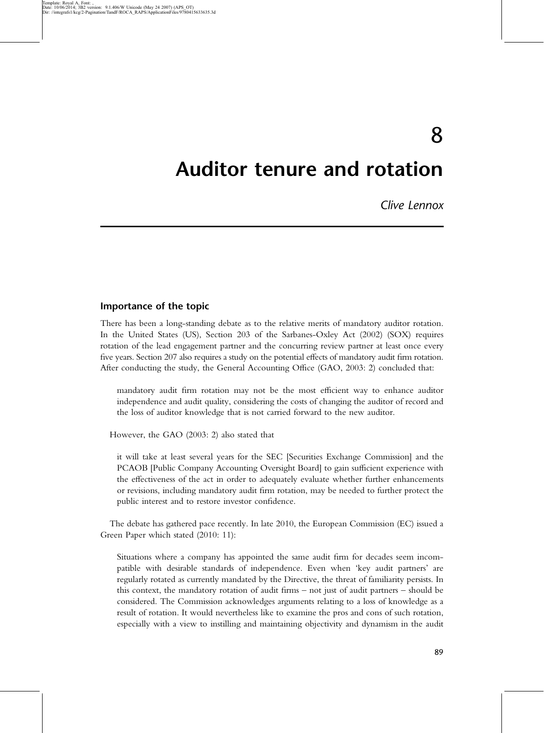# Auditor tenure and rotation

Clive Lennox

## Importance of the topic

There has been a long-standing debate as to the relative merits of mandatory auditor rotation. In the United States (US), Section 203 of the Sarbanes-Oxley Act (2002) (SOX) requires rotation of the lead engagement partner and the concurring review partner at least once every five years. Section 207 also requires a study on the potential effects of mandatory audit firm rotation. After conducting the study, the General Accounting Office (GAO, 2003: 2) concluded that:

mandatory audit firm rotation may not be the most efficient way to enhance auditor independence and audit quality, considering the costs of changing the auditor of record and the loss of auditor knowledge that is not carried forward to the new auditor.

However, the GAO (2003: 2) also stated that

it will take at least several years for the SEC [Securities Exchange Commission] and the PCAOB [Public Company Accounting Oversight Board] to gain sufficient experience with the effectiveness of the act in order to adequately evaluate whether further enhancements or revisions, including mandatory audit firm rotation, may be needed to further protect the public interest and to restore investor confidence.

The debate has gathered pace recently. In late 2010, the European Commission (EC) issued a Green Paper which stated (2010: 11):

Situations where a company has appointed the same audit firm for decades seem incompatible with desirable standards of independence. Even when 'key audit partners' are regularly rotated as currently mandated by the Directive, the threat of familiarity persists. In this context, the mandatory rotation of audit firms – not just of audit partners – should be considered. The Commission acknowledges arguments relating to a loss of knowledge as a result of rotation. It would nevertheless like to examine the pros and cons of such rotation, especially with a view to instilling and maintaining objectivity and dynamism in the audit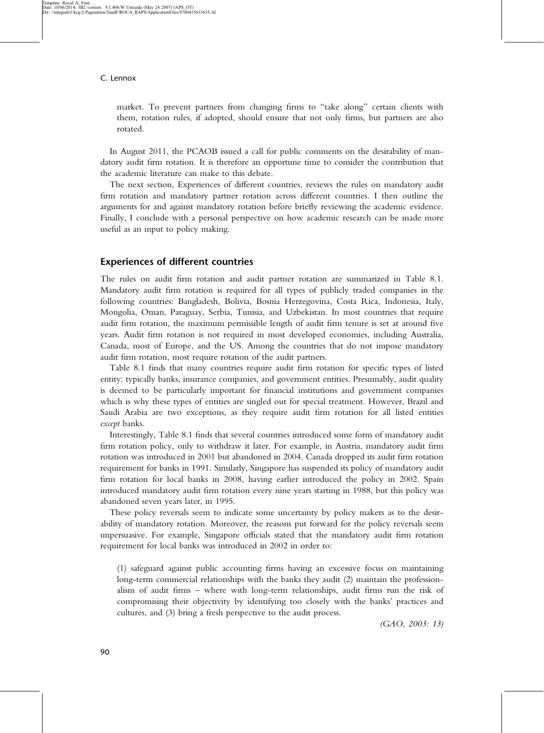market. To prevent partners from changing firms to "take along" certain clients with them, rotation rules, if adopted, should ensure that not only firms, but partners are also rotated.

In August 2011, the PCAOB issued a call for public comments on the desirability of mandatory audit firm rotation. It is therefore an opportune time to consider the contribution that the academic literature can make to this debate.

The next section, Experiences of different countries, reviews the rules on mandatory audit firm rotation and mandatory partner rotation across different countries. I then outline the arguments for and against mandatory rotation before briefly reviewing the academic evidence. Finally, I conclude with a personal perspective on how academic research can be made more useful as an input to policy making.

# Experiences of different countries

The rules on audit firm rotation and audit partner rotation are summarized in Table 8.1. Mandatory audit firm rotation is required for all types of publicly traded companies in the following countries: Bangladesh, Bolivia, Bosnia Herzegovina, Costa Rica, Indonesia, Italy, Mongolia, Oman, Paraguay, Serbia, Tunisia, and Uzbekistan. In most countries that require audit firm rotation, the maximum permissible length of audit firm tenure is set at around five years. Audit firm rotation is not required in most developed economies, including Australia, Canada, most of Europe, and the US. Among the countries that do not impose mandatory audit firm rotation, most require rotation of the audit partners.

Table 8.1 finds that many countries require audit firm rotation for specific types of listed entity: typically banks, insurance companies, and government entities. Presumably, audit quality is deemed to be particularly important for financial institutions and government companies which is why these types of entities are singled out for special treatment. However, Brazil and Saudi Arabia are two exceptions, as they require audit firm rotation for all listed entities except banks.

Interestingly, Table 8.1 finds that several countries introduced some form of mandatory audit firm rotation policy, only to withdraw it later. For example, in Austria, mandatory audit firm rotation was introduced in 2001 but abandoned in 2004. Canada dropped its audit firm rotation requirement for banks in 1991. Similarly, Singapore has suspended its policy of mandatory audit firm rotation for local banks in 2008, having earlier introduced the policy in 2002. Spain introduced mandatory audit firm rotation every nine years starting in 1988, but this policy was abandoned seven years later, in 1995.

These policy reversals seem to indicate some uncertainty by policy makers as to the desirability of mandatory rotation. Moreover, the reasons put forward for the policy reversals seem unpersuasive. For example, Singapore officials stated that the mandatory audit firm rotation requirement for local banks was introduced in 2002 in order to:

(1) safeguard against public accounting firms having an excessive focus on maintaining long-term commercial relationships with the banks they audit (2) maintain the professionalism of audit firms – where with long-term relationships, audit firms run the risk of compromising their objectivity by identifying too closely with the banks' practices and cultures, and (3) bring a fresh perspective to the audit process.

(GAO, 2003: 13)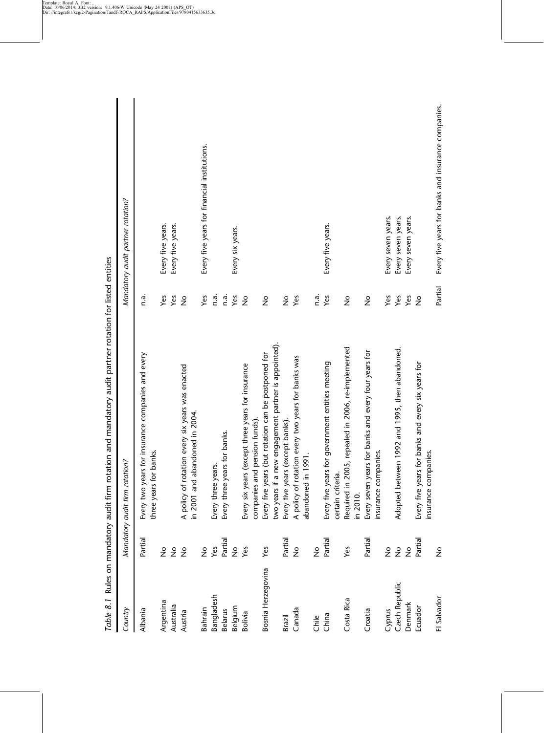|                    |                            | Table 8.1 Rules on mandatory audit firm rotation and mandatory audit partner rotation for listed entities   |               |                                                     |
|--------------------|----------------------------|-------------------------------------------------------------------------------------------------------------|---------------|-----------------------------------------------------|
| Country            |                            | Mandatory audit firm rotation?                                                                              |               | Mandatory audit partner rotation?                   |
| Albania            | Partial                    | Every two years for insurance companies and every<br>three years for banks.                                 | ٦.            |                                                     |
| Argentina          | $\frac{1}{2}$              |                                                                                                             | Yes           | Every five years.                                   |
| Australia          | $\frac{\circ}{2}$          |                                                                                                             | Yes           | Every five years.                                   |
| Austria            | $\stackrel{\mathtt{o}}{z}$ | A policy of rotation every six years was enacted<br>in 2001 and abandoned in 2004.                          | $\frac{1}{2}$ |                                                     |
| Bahrain            | $\frac{1}{2}$              |                                                                                                             | Yes           | Every five years for financial institutions.        |
| Bangladesh         | Yes                        | Every three years.                                                                                          | n.a.          |                                                     |
| <b>Belarus</b>     | Partial                    | Every three years for banks.                                                                                | n.a.          |                                                     |
| Belgium            |                            |                                                                                                             | Yes           | Every six years.                                    |
| Bolivia            | e se                       | Every six years (except three years for insurance<br>companies and pension funds).                          | $\frac{1}{2}$ |                                                     |
|                    |                            |                                                                                                             |               |                                                     |
| Bosnia Herzegovina | Yes                        | two years if a new engagement partner is appointed).<br>Every five years (but rotation can be postponed for | $\frac{1}{2}$ |                                                     |
| Brazil             |                            | Every five years (except banks).                                                                            | $\frac{1}{2}$ |                                                     |
| Canada             | Partial<br>No              | A policy of rotation every two years for banks was<br>abandoned in 1991.                                    | Yes           |                                                     |
| Chile              | $\frac{1}{2}$              |                                                                                                             | n.a.          |                                                     |
| China              | Partial                    | Every five years for government entities meeting<br>certain criteria.                                       | Yes           | Every five years.                                   |
| Costa Rica         | Yes                        | Required in 2005, repealed in 2006, re-implemented<br>n 2010.                                               | $\frac{1}{2}$ |                                                     |
| Croatia            | Partial                    | Every seven years for banks and every four years for<br>nsurance companies.                                 | $\frac{1}{2}$ |                                                     |
| Cyprus             | $\frac{1}{2}$              |                                                                                                             | Yes           | Every seven years.                                  |
| Czech Republic     |                            | Adopted between 1992 and 1995, then abandoned.                                                              | Yes           | Every seven years.                                  |
| Denmark            | 22                         |                                                                                                             | Yes           | Every seven years.                                  |
| Ecuador            | Partial                    | Every five years for banks and every six years for<br>nsurance companies.                                   | $\frac{1}{2}$ |                                                     |
| El Salvador        | $\frac{1}{2}$              |                                                                                                             | Partial       | Every five years for banks and insurance companies. |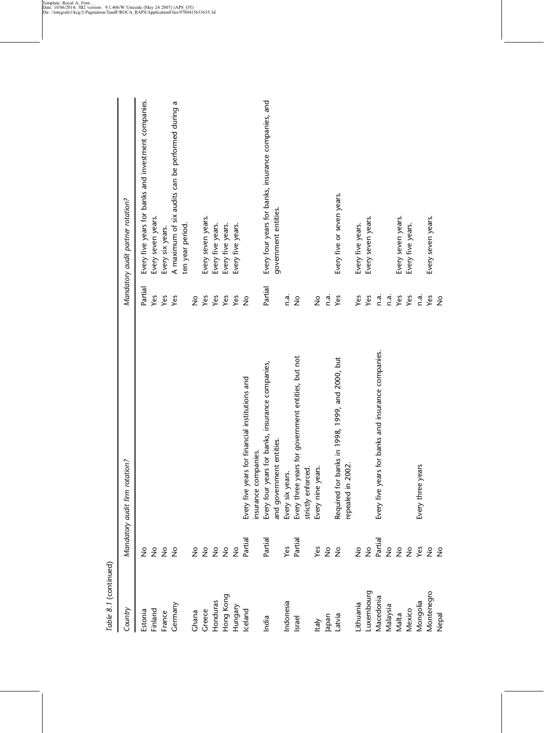| ٠                         |  |
|---------------------------|--|
|                           |  |
|                           |  |
|                           |  |
|                           |  |
|                           |  |
|                           |  |
|                           |  |
|                           |  |
|                           |  |
|                           |  |
|                           |  |
|                           |  |
| í                         |  |
|                           |  |
|                           |  |
| ł<br>$\scriptstyle\alpha$ |  |
|                           |  |
|                           |  |
|                           |  |
|                           |  |

| Table 8.1 (continued) |                                           |                                                                          |               |                                                      |
|-----------------------|-------------------------------------------|--------------------------------------------------------------------------|---------------|------------------------------------------------------|
| Country               |                                           | Mandatory audit firm rotation?                                           |               | Mandatory audit partner rotation?                    |
| Estonia               | $\frac{1}{2}$                             |                                                                          | Partial       | Every five years for banks and investment companies  |
| Finland               |                                           |                                                                          | Yes           | Every seven years.                                   |
| France                | 222                                       |                                                                          | Yes           | Every six years.                                     |
| Germany               |                                           |                                                                          | Yes           | A maximum of six audits can be performed during a    |
|                       |                                           |                                                                          |               | ten year period.                                     |
| Ghana                 | $\frac{1}{2}$                             |                                                                          | $\hat{z}$     |                                                      |
| Greece                |                                           |                                                                          | Yes           | Every seven years.                                   |
| Honduras              | 222                                       |                                                                          | Yes           | Every five years.                                    |
| Hong Kong             |                                           |                                                                          | Yes           | Every five years.                                    |
| Hungary               |                                           |                                                                          | Yes           | Every five years.                                    |
| Iceland               | No<br>Partial                             | Every five years for financial institutions and                          | $\frac{1}{2}$ |                                                      |
|                       |                                           | insurance companies.                                                     |               |                                                      |
| India                 | Partial                                   | Every four years for banks, insurance companies,                         | Partial       | Every four years for banks, insurance companies, and |
|                       |                                           | and government entities.                                                 |               | government entities.                                 |
| Indonesia             | Yes                                       | Every six years.                                                         | n.a.          |                                                      |
| Israel                | Partial                                   | Every three years for government entities, but not<br>strictly enforced. | $\frac{1}{2}$ |                                                      |
|                       |                                           |                                                                          |               |                                                      |
| Italy                 |                                           | Every nine years.                                                        | $\frac{1}{2}$ |                                                      |
| Japan                 |                                           |                                                                          | n.a.          |                                                      |
| Latvia                | $\frac{8}{2}$ $\frac{9}{2}$ $\frac{9}{2}$ | Required for banks in 1998, 1999, and 2000, but<br>repealed in 2002.     | Yes           | Every five or seven years.                           |
| Lithuania             | $\frac{1}{2}$                             |                                                                          | Yes           | Every five years.                                    |
| Luxembourg            | $\stackrel{\circ}{z}$                     |                                                                          | Yes           | Every seven years.                                   |
| Macedonia             | Partial                                   | Every five years for banks and insurance companies.                      | n.a.          |                                                      |
| Malaysia              |                                           |                                                                          | n.a.          |                                                      |
| Malta                 |                                           |                                                                          | Yes           | Every seven years.                                   |
| Mexico                | 222                                       |                                                                          | Yes           | Every five years.                                    |
| Mongolia              | Yes                                       | Every three years                                                        | n.a.          |                                                      |
| Montenegro            | $\stackrel{\mathtt{o}}{z}$                |                                                                          | Yes           | Every seven years.                                   |
| Nepal                 | $\frac{1}{2}$                             |                                                                          | $\frac{1}{2}$ |                                                      |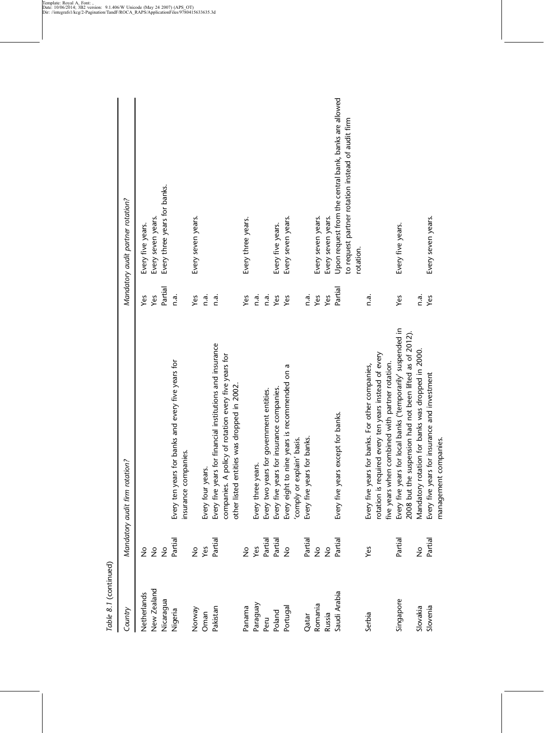| lemplate: Royal A, Font:,                                                            |  |
|--------------------------------------------------------------------------------------|--|
| Date: 10/06/2014; 3B2 version: 9.1.406/W Unicode (May 24 2007) (APS OT)              |  |
| Dir: //integrafs1/kcg/2-Pagination/TandF/ROCA RAPS/ApplicationFiles/9780415633635.3d |  |
|                                                                                      |  |
|                                                                                      |  |
|                                                                                      |  |
|                                                                                      |  |
|                                                                                      |  |
|                                                                                      |  |
|                                                                                      |  |
|                                                                                      |  |
|                                                                                      |  |

| Table 8.1 (continued) |                                       |                                                                                                                                                                                                                                           |         |                                                                |
|-----------------------|---------------------------------------|-------------------------------------------------------------------------------------------------------------------------------------------------------------------------------------------------------------------------------------------|---------|----------------------------------------------------------------|
| Country               |                                       | Mandatory audit firm rotation?                                                                                                                                                                                                            |         | Mandatory audit partner rotation?                              |
| Netherlands           | $\frac{1}{2}$                         |                                                                                                                                                                                                                                           | Yes     | Every five years.                                              |
| New Zealand           |                                       |                                                                                                                                                                                                                                           | Yes     | Every seven years.                                             |
| Nicaragua             |                                       |                                                                                                                                                                                                                                           | Partial | Every three years for banks.                                   |
| Nigeria               | No<br>Partial<br>Partial              | Every ten years for banks and every five years for<br>insurance companies.                                                                                                                                                                | n.a.    |                                                                |
| Norway                | $\frac{6}{2}$                         |                                                                                                                                                                                                                                           | Yes     | Every seven years.                                             |
| Oman                  |                                       |                                                                                                                                                                                                                                           | n.a.    |                                                                |
| Pakistan              | Yes<br>Partial                        | Every four years.<br>Every five years for financial institutions and insurance                                                                                                                                                            | n.a.    |                                                                |
|                       |                                       | companies. A policy of rotation every five years for<br>other listed entities was dropped in 2002                                                                                                                                         |         |                                                                |
| Panama                |                                       |                                                                                                                                                                                                                                           | Yes     | Every three years.                                             |
| Paraguay              |                                       |                                                                                                                                                                                                                                           | n.a.    |                                                                |
| Peru                  |                                       |                                                                                                                                                                                                                                           | n.a.    |                                                                |
| Poland                | No<br>Yes<br>Partial<br>Partial<br>No |                                                                                                                                                                                                                                           | Yes     | Every five years.                                              |
| Portugal              |                                       |                                                                                                                                                                                                                                           | Yes     | Every seven years.                                             |
|                       |                                       | Every three years.<br>Every two years for government entities.<br>Every five years for insurance companies.<br>Every eight to nine years is recommended on a<br>'comply or explain' basis.                                                |         |                                                                |
| Qatar                 |                                       | Every five years for banks.                                                                                                                                                                                                               | n.a.    |                                                                |
| Romania               |                                       |                                                                                                                                                                                                                                           | Yes     | Every seven years.                                             |
| Russia                | Partial<br>No<br>Partial              |                                                                                                                                                                                                                                           | Yes     | Every seven years.                                             |
| Saudi Arabia          |                                       | Every five years except for banks.                                                                                                                                                                                                        | Partial | Upon request from the central bank, banks are allowed          |
|                       |                                       |                                                                                                                                                                                                                                           |         | to request partner rotation instead of audit firm<br>rotation. |
| Serbia                | Yes                                   | rotation is required every ten years instead of every<br>Every five years for banks. For other companies,                                                                                                                                 | n.a.    |                                                                |
| Singapore             | Partial                               | five years when combined with partner rotation.<br>Every five years for local banks ('temporarily' suspended in<br>2008 but the suspension had not been lifted as of 2012).<br>Mandatory rotation for banks was dropped in 2000.<br>Every | Yes     | Every five years.                                              |
| Slovakia              | No<br>Partial                         |                                                                                                                                                                                                                                           | n.a.    |                                                                |
| Slovenia              |                                       |                                                                                                                                                                                                                                           | Yes     | Every seven years.                                             |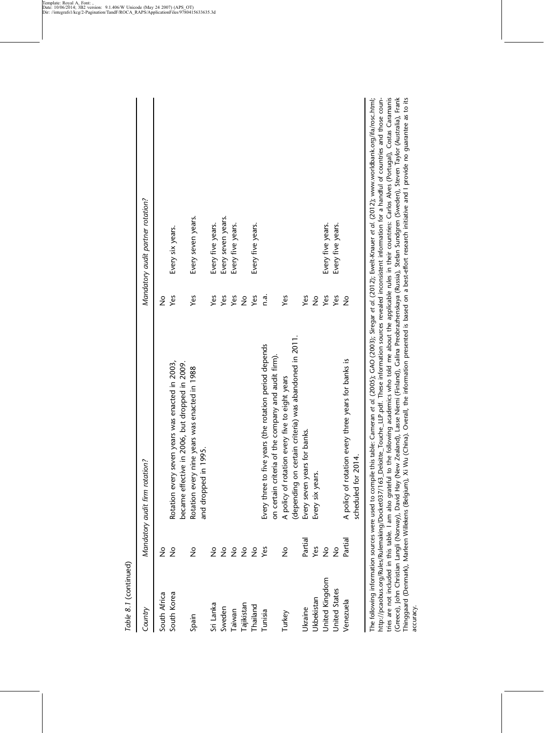| ∝ |
|---|
|   |
|   |
|   |
|   |
|   |

| 222222<br>ž<br>$\frac{1}{2}$<br>$\frac{1}{2}$<br>South Korea<br>South Africa<br>Sri Lanka<br>Tajikistan<br>Thailand<br>Sweden<br>Taiwan<br>Spain |                                                                                                          |                   | Mandatory audit partner rotation? |
|--------------------------------------------------------------------------------------------------------------------------------------------------|----------------------------------------------------------------------------------------------------------|-------------------|-----------------------------------|
|                                                                                                                                                  |                                                                                                          | ş                 |                                   |
|                                                                                                                                                  | Rotation every seven years was enacted in 2003,<br>became effective in 2006, but dropped in 2009.        | Yes               | Every six years.                  |
|                                                                                                                                                  | Rotation every nine years was enacted in 1988<br>and dropped in 1995.                                    | Yes               | Every seven years.                |
|                                                                                                                                                  |                                                                                                          | Yes               | Every five years.                 |
|                                                                                                                                                  |                                                                                                          | Yes               | Every seven years.                |
|                                                                                                                                                  |                                                                                                          | Yes               | Every five years.                 |
|                                                                                                                                                  |                                                                                                          | $\frac{\circ}{2}$ |                                   |
|                                                                                                                                                  |                                                                                                          | Yes               | Every five years.                 |
| Tunisia                                                                                                                                          | Every three to five years (the rotation period depends                                                   | n.a.              |                                   |
|                                                                                                                                                  | on certain criteria of the company and audit firm).                                                      |                   |                                   |
| $\frac{1}{2}$<br>Turkey                                                                                                                          | (depending on certain criteria) was abandoned in 2011.<br>A policy of rotation every five to eight years | Yes               |                                   |
| Partial<br>Ukraine                                                                                                                               | Every seven years for banks.                                                                             | Yes               |                                   |
| Yes<br>Ukbekistan                                                                                                                                | Every six years.                                                                                         | $\hat{\check{z}}$ |                                   |
| United Kingdom                                                                                                                                   |                                                                                                          | Yes               | Every five years.                 |
| 22<br>United States                                                                                                                              |                                                                                                          | Yes               | Every five years.                 |
| Partial<br>Venezuela                                                                                                                             | A policy of rotation every three years for banks is<br>scheduled for 2014                                | $\frac{1}{2}$     |                                   |

http://pcaobus.org/Rules/Rulemaking/Docket037/163\_Deloitte\_Touche\_LP.pdf. These information sources revealed inconsistent information for a handful of countries and those countries and those countries are not included in t a/rosc.html; The following information sources were used to compile this table: Cameran et al. (2005); GAO (2003); Siregar et al. (2012); Ewelt-Knauer et al. (2012); www.worldbank.org/ifa/rosc.html; http://pcaobus.org/Rules/Rulemaking/Docket037/163\_Deloitte\_Touche\_LLP.pdf. These information sources revealed inconsistent information for a handful of countries and those countries are not included in this table. I am also grateful to the following academics who told me about the applicable rules in their countries: Carlos Alves (Portugal), Costas Caramanis (Greece), John Christian Langli (Norway), David Hay (New Zealand), Lasse Niemi (Finland), Galina Preobrazhenskaya (Russia), Stefan Sundgren (Sweden), Steven Taylor (Australia), Frank Thinggaard (Denmark), Marleen Willekens (Belgium), Xi Wu (China). Overall, the information presented is based on a best-effort research initiative and I provide no guarantee as to its  $\mathsf{l}$ accuracy. accuracy.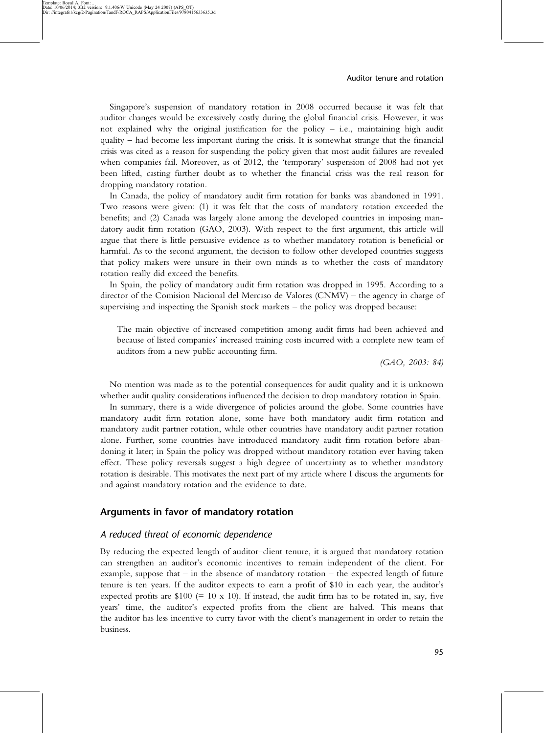Singapore's suspension of mandatory rotation in 2008 occurred because it was felt that auditor changes would be excessively costly during the global financial crisis. However, it was not explained why the original justification for the policy – i.e., maintaining high audit quality – had become less important during the crisis. It is somewhat strange that the financial crisis was cited as a reason for suspending the policy given that most audit failures are revealed when companies fail. Moreover, as of 2012, the 'temporary' suspension of 2008 had not yet been lifted, casting further doubt as to whether the financial crisis was the real reason for dropping mandatory rotation.

In Canada, the policy of mandatory audit firm rotation for banks was abandoned in 1991. Two reasons were given: (1) it was felt that the costs of mandatory rotation exceeded the benefits; and (2) Canada was largely alone among the developed countries in imposing mandatory audit firm rotation (GAO, 2003). With respect to the first argument, this article will argue that there is little persuasive evidence as to whether mandatory rotation is beneficial or harmful. As to the second argument, the decision to follow other developed countries suggests that policy makers were unsure in their own minds as to whether the costs of mandatory rotation really did exceed the benefits.

In Spain, the policy of mandatory audit firm rotation was dropped in 1995. According to a director of the Comision Nacional del Mercaso de Valores (CNMV) – the agency in charge of supervising and inspecting the Spanish stock markets – the policy was dropped because:

The main objective of increased competition among audit firms had been achieved and because of listed companies' increased training costs incurred with a complete new team of auditors from a new public accounting firm.

(GAO, 2003: 84)

No mention was made as to the potential consequences for audit quality and it is unknown whether audit quality considerations influenced the decision to drop mandatory rotation in Spain.

In summary, there is a wide divergence of policies around the globe. Some countries have mandatory audit firm rotation alone, some have both mandatory audit firm rotation and mandatory audit partner rotation, while other countries have mandatory audit partner rotation alone. Further, some countries have introduced mandatory audit firm rotation before abandoning it later; in Spain the policy was dropped without mandatory rotation ever having taken effect. These policy reversals suggest a high degree of uncertainty as to whether mandatory rotation is desirable. This motivates the next part of my article where I discuss the arguments for and against mandatory rotation and the evidence to date.

# Arguments in favor of mandatory rotation

#### A reduced threat of economic dependence

By reducing the expected length of auditor–client tenure, it is argued that mandatory rotation can strengthen an auditor's economic incentives to remain independent of the client. For example, suppose that  $-$  in the absence of mandatory rotation  $-$  the expected length of future tenure is ten years. If the auditor expects to earn a profit of \$10 in each year, the auditor's expected profits are \$100 (= 10 x 10). If instead, the audit firm has to be rotated in, say, five years' time, the auditor's expected profits from the client are halved. This means that the auditor has less incentive to curry favor with the client's management in order to retain the business.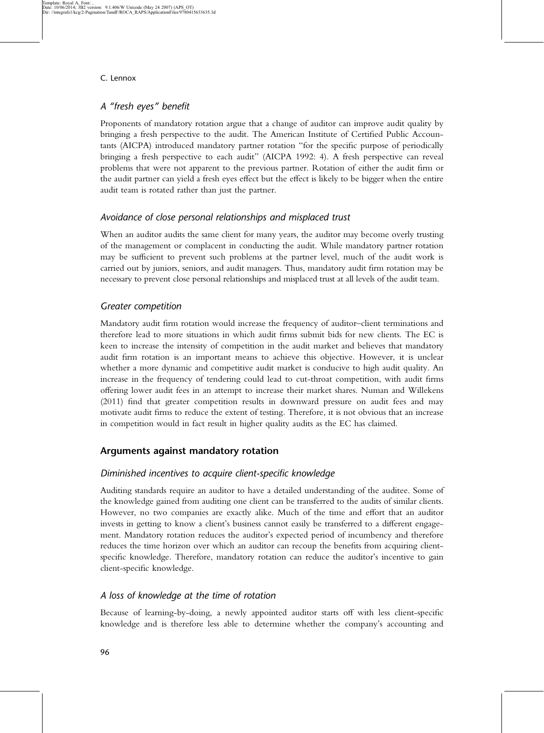# A "fresh eyes" benefit

Proponents of mandatory rotation argue that a change of auditor can improve audit quality by bringing a fresh perspective to the audit. The American Institute of Certified Public Accountants (AICPA) introduced mandatory partner rotation "for the specific purpose of periodically bringing a fresh perspective to each audit" (AICPA 1992: 4). A fresh perspective can reveal problems that were not apparent to the previous partner. Rotation of either the audit firm or the audit partner can yield a fresh eyes effect but the effect is likely to be bigger when the entire audit team is rotated rather than just the partner.

#### Avoidance of close personal relationships and misplaced trust

When an auditor audits the same client for many years, the auditor may become overly trusting of the management or complacent in conducting the audit. While mandatory partner rotation may be sufficient to prevent such problems at the partner level, much of the audit work is carried out by juniors, seniors, and audit managers. Thus, mandatory audit firm rotation may be necessary to prevent close personal relationships and misplaced trust at all levels of the audit team.

#### Greater competition

Mandatory audit firm rotation would increase the frequency of auditor–client terminations and therefore lead to more situations in which audit firms submit bids for new clients. The EC is keen to increase the intensity of competition in the audit market and believes that mandatory audit firm rotation is an important means to achieve this objective. However, it is unclear whether a more dynamic and competitive audit market is conducive to high audit quality. An increase in the frequency of tendering could lead to cut-throat competition, with audit firms offering lower audit fees in an attempt to increase their market shares. Numan and Willekens (2011) find that greater competition results in downward pressure on audit fees and may motivate audit firms to reduce the extent of testing. Therefore, it is not obvious that an increase in competition would in fact result in higher quality audits as the EC has claimed.

# Arguments against mandatory rotation

#### Diminished incentives to acquire client-specific knowledge

Auditing standards require an auditor to have a detailed understanding of the auditee. Some of the knowledge gained from auditing one client can be transferred to the audits of similar clients. However, no two companies are exactly alike. Much of the time and effort that an auditor invests in getting to know a client's business cannot easily be transferred to a different engagement. Mandatory rotation reduces the auditor's expected period of incumbency and therefore reduces the time horizon over which an auditor can recoup the benefits from acquiring clientspecific knowledge. Therefore, mandatory rotation can reduce the auditor's incentive to gain client-specific knowledge.

## A loss of knowledge at the time of rotation

Because of learning-by-doing, a newly appointed auditor starts off with less client-specific knowledge and is therefore less able to determine whether the company's accounting and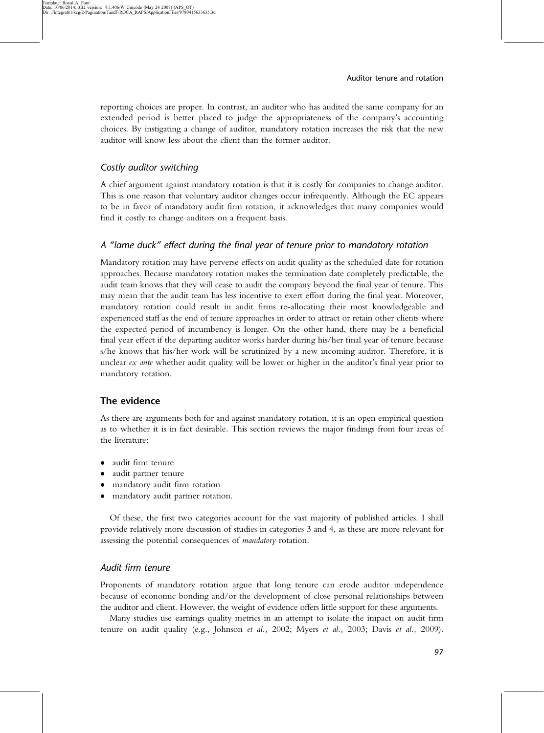reporting choices are proper. In contrast, an auditor who has audited the same company for an extended period is better placed to judge the appropriateness of the company's accounting choices. By instigating a change of auditor, mandatory rotation increases the risk that the new auditor will know less about the client than the former auditor.

# Costly auditor switching

A chief argument against mandatory rotation is that it is costly for companies to change auditor. This is one reason that voluntary auditor changes occur infrequently. Although the EC appears to be in favor of mandatory audit firm rotation, it acknowledges that many companies would find it costly to change auditors on a frequent basis.

## A "lame duck" effect during the final year of tenure prior to mandatory rotation

Mandatory rotation may have perverse effects on audit quality as the scheduled date for rotation approaches. Because mandatory rotation makes the termination date completely predictable, the audit team knows that they will cease to audit the company beyond the final year of tenure. This may mean that the audit team has less incentive to exert effort during the final year. Moreover, mandatory rotation could result in audit firms re-allocating their most knowledgeable and experienced staff as the end of tenure approaches in order to attract or retain other clients where the expected period of incumbency is longer. On the other hand, there may be a beneficial final year effect if the departing auditor works harder during his/her final year of tenure because s/he knows that his/her work will be scrutinized by a new incoming auditor. Therefore, it is unclear ex ante whether audit quality will be lower or higher in the auditor's final year prior to mandatory rotation.

## The evidence

As there are arguments both for and against mandatory rotation, it is an open empirical question as to whether it is in fact desirable. This section reviews the major findings from four areas of the literature:

- audit firm tenure
- audit partner tenure
- mandatory audit firm rotation
- mandatory audit partner rotation.

Of these, the first two categories account for the vast majority of published articles. I shall provide relatively more discussion of studies in categories 3 and 4, as these are more relevant for assessing the potential consequences of mandatory rotation.

# Audit firm tenure

Proponents of mandatory rotation argue that long tenure can erode auditor independence because of economic bonding and/or the development of close personal relationships between the auditor and client. However, the weight of evidence offers little support for these arguments.

Many studies use earnings quality metrics in an attempt to isolate the impact on audit firm tenure on audit quality (e.g., Johnson et al., 2002; Myers et al., 2003; Davis et al., 2009).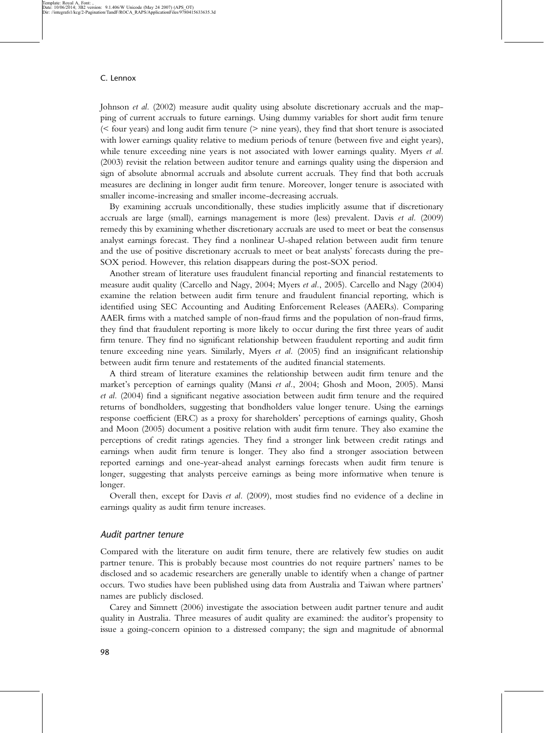Johnson et al. (2002) measure audit quality using absolute discretionary accruals and the mapping of current accruals to future earnings. Using dummy variables for short audit firm tenure  $\ll$  four years) and long audit firm tenure  $\ll$  nine years), they find that short tenure is associated with lower earnings quality relative to medium periods of tenure (between five and eight years), while tenure exceeding nine years is not associated with lower earnings quality. Myers *et al.* (2003) revisit the relation between auditor tenure and earnings quality using the dispersion and sign of absolute abnormal accruals and absolute current accruals. They find that both accruals measures are declining in longer audit firm tenure. Moreover, longer tenure is associated with smaller income-increasing and smaller income-decreasing accruals.

By examining accruals unconditionally, these studies implicitly assume that if discretionary accruals are large (small), earnings management is more (less) prevalent. Davis et al. (2009) remedy this by examining whether discretionary accruals are used to meet or beat the consensus analyst earnings forecast. They find a nonlinear U-shaped relation between audit firm tenure and the use of positive discretionary accruals to meet or beat analysts' forecasts during the pre-SOX period. However, this relation disappears during the post-SOX period.

Another stream of literature uses fraudulent financial reporting and financial restatements to measure audit quality (Carcello and Nagy, 2004; Myers et al., 2005). Carcello and Nagy (2004) examine the relation between audit firm tenure and fraudulent financial reporting, which is identified using SEC Accounting and Auditing Enforcement Releases (AAERs). Comparing AAER firms with a matched sample of non-fraud firms and the population of non-fraud firms, they find that fraudulent reporting is more likely to occur during the first three years of audit firm tenure. They find no significant relationship between fraudulent reporting and audit firm tenure exceeding nine years. Similarly, Myers et al. (2005) find an insignificant relationship between audit firm tenure and restatements of the audited financial statements.

A third stream of literature examines the relationship between audit firm tenure and the market's perception of earnings quality (Mansi *et al.*, 2004; Ghosh and Moon, 2005). Mansi et al. (2004) find a significant negative association between audit firm tenure and the required returns of bondholders, suggesting that bondholders value longer tenure. Using the earnings response coefficient (ERC) as a proxy for shareholders' perceptions of earnings quality, Ghosh and Moon (2005) document a positive relation with audit firm tenure. They also examine the perceptions of credit ratings agencies. They find a stronger link between credit ratings and earnings when audit firm tenure is longer. They also find a stronger association between reported earnings and one-year-ahead analyst earnings forecasts when audit firm tenure is longer, suggesting that analysts perceive earnings as being more informative when tenure is longer.

Overall then, except for Davis et al. (2009), most studies find no evidence of a decline in earnings quality as audit firm tenure increases.

#### Audit partner tenure

Compared with the literature on audit firm tenure, there are relatively few studies on audit partner tenure. This is probably because most countries do not require partners' names to be disclosed and so academic researchers are generally unable to identify when a change of partner occurs. Two studies have been published using data from Australia and Taiwan where partners' names are publicly disclosed.

Carey and Simnett (2006) investigate the association between audit partner tenure and audit quality in Australia. Three measures of audit quality are examined: the auditor's propensity to issue a going-concern opinion to a distressed company; the sign and magnitude of abnormal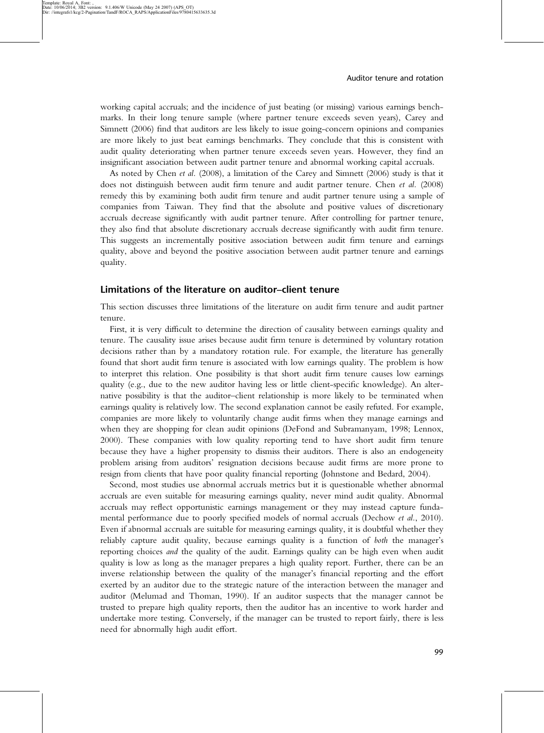working capital accruals; and the incidence of just beating (or missing) various earnings benchmarks. In their long tenure sample (where partner tenure exceeds seven years), Carey and Simnett (2006) find that auditors are less likely to issue going-concern opinions and companies are more likely to just beat earnings benchmarks. They conclude that this is consistent with audit quality deteriorating when partner tenure exceeds seven years. However, they find an insignificant association between audit partner tenure and abnormal working capital accruals.

As noted by Chen et al. (2008), a limitation of the Carey and Simnett (2006) study is that it does not distinguish between audit firm tenure and audit partner tenure. Chen et al. (2008) remedy this by examining both audit firm tenure and audit partner tenure using a sample of companies from Taiwan. They find that the absolute and positive values of discretionary accruals decrease significantly with audit partner tenure. After controlling for partner tenure, they also find that absolute discretionary accruals decrease significantly with audit firm tenure. This suggests an incrementally positive association between audit firm tenure and earnings quality, above and beyond the positive association between audit partner tenure and earnings quality.

# Limitations of the literature on auditor–client tenure

This section discusses three limitations of the literature on audit firm tenure and audit partner tenure.

First, it is very difficult to determine the direction of causality between earnings quality and tenure. The causality issue arises because audit firm tenure is determined by voluntary rotation decisions rather than by a mandatory rotation rule. For example, the literature has generally found that short audit firm tenure is associated with low earnings quality. The problem is how to interpret this relation. One possibility is that short audit firm tenure causes low earnings quality (e.g., due to the new auditor having less or little client-specific knowledge). An alternative possibility is that the auditor–client relationship is more likely to be terminated when earnings quality is relatively low. The second explanation cannot be easily refuted. For example, companies are more likely to voluntarily change audit firms when they manage earnings and when they are shopping for clean audit opinions (DeFond and Subramanyam, 1998; Lennox, 2000). These companies with low quality reporting tend to have short audit firm tenure because they have a higher propensity to dismiss their auditors. There is also an endogeneity problem arising from auditors' resignation decisions because audit firms are more prone to resign from clients that have poor quality financial reporting (Johnstone and Bedard, 2004).

Second, most studies use abnormal accruals metrics but it is questionable whether abnormal accruals are even suitable for measuring earnings quality, never mind audit quality. Abnormal accruals may reflect opportunistic earnings management or they may instead capture fundamental performance due to poorly specified models of normal accruals (Dechow *et al.*, 2010). Even if abnormal accruals are suitable for measuring earnings quality, it is doubtful whether they reliably capture audit quality, because earnings quality is a function of both the manager's reporting choices *and* the quality of the audit. Earnings quality can be high even when audit quality is low as long as the manager prepares a high quality report. Further, there can be an inverse relationship between the quality of the manager's financial reporting and the effort exerted by an auditor due to the strategic nature of the interaction between the manager and auditor (Melumad and Thoman, 1990). If an auditor suspects that the manager cannot be trusted to prepare high quality reports, then the auditor has an incentive to work harder and undertake more testing. Conversely, if the manager can be trusted to report fairly, there is less need for abnormally high audit effort.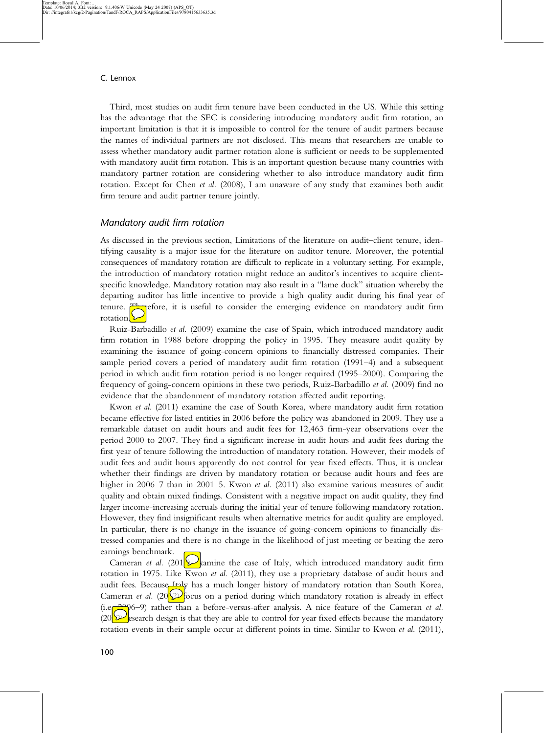Third, most studies on audit firm tenure have been conducted in the US. While this setting has the advantage that the SEC is considering introducing mandatory audit firm rotation, an important limitation is that it is impossible to control for the tenure of audit partners because the names of individual partners are not disclosed. This means that researchers are unable to assess whether mandatory audit partner rotation alone is sufficient or needs to be supplemented with mandatory audit firm rotation. This is an important question because many countries with mandatory partner rotation are considering whether to also introduce mandatory audit firm rotation. Except for Chen et al. (2008), I am unaware of any study that examines both audit firm tenure and audit partner tenure jointly.

## Mandatory audit firm rotation

As discussed in the previous section, Limitations of the literature on audit–client tenure, identifying causality is a major issue for the literature on auditor tenure. Moreover, the potential consequences of mandatory rotation are difficult to replicate in a voluntary setting. For example, the introduction of mandatory rotation might reduce an auditor's incentives to acquire clientspecific knowledge. Mandatory rotation may also result in a "lame duck" situation whereby the departing auditor has little incentive to provide a high quality audit during his final year of tenure.  $\frac{1}{\sqrt{2}}$  refore, it is useful to consider the emerging evidence on mandatory audit firm rotation.

Ruiz-Barbadillo et al. (2009) examine the case of Spain, which introduced mandatory audit firm rotation in 1988 before dropping the policy in 1995. They measure audit quality by examining the issuance of going-concern opinions to financially distressed companies. Their sample period covers a period of mandatory audit firm rotation (1991–4) and a subsequent period in which audit firm rotation period is no longer required (1995–2000). Comparing the frequency of going-concern opinions in these two periods, Ruiz-Barbadillo et al. (2009) find no evidence that the abandonment of mandatory rotation affected audit reporting.

Kwon et al. (2011) examine the case of South Korea, where mandatory audit firm rotation became effective for listed entities in 2006 before the policy was abandoned in 2009. They use a remarkable dataset on audit hours and audit fees for 12,463 firm-year observations over the period 2000 to 2007. They find a significant increase in audit hours and audit fees during the first year of tenure following the introduction of mandatory rotation. However, their models of audit fees and audit hours apparently do not control for year fixed effects. Thus, it is unclear whether their findings are driven by mandatory rotation or because audit hours and fees are higher in 2006–7 than in 2001–5. Kwon *et al.* (2011) also examine various measures of audit quality and obtain mixed findings. Consistent with a negative impact on audit quality, they find larger income-increasing accruals during the initial year of tenure following mandatory rotation. However, they find insignificant results when alternative metrics for audit quality are employed. In particular, there is no change in the issuance of going-concern opinions to financially distressed companies and there is no change in the likelihood of just meeting or beating the zero earnings benchmark.

Cameran et al. (201 $\bigotimes$  amine the case of Italy, which introduced mandatory audit firm rotation in 1975. Like Kwon *et al.* (2011), they use a proprietary database of audit hours and audit fees. Because Italy has a much longer history of mandatory rotation than South Korea, Cameran et al. (20 $\sqrt{2}$  focus on a period during which mandatory rotation is already in effect  $(i.e., 2006-9)$  rather than a before-versus-after analysis. A nice feature of the Cameran *et al.* (20) $\sqrt{\frac{Q}{Q}}$  esearch design is that they are able to control for year fixed effects because the mandatory rotation events in their sample occur at different points in time. Similar to Kwon et al. (2011),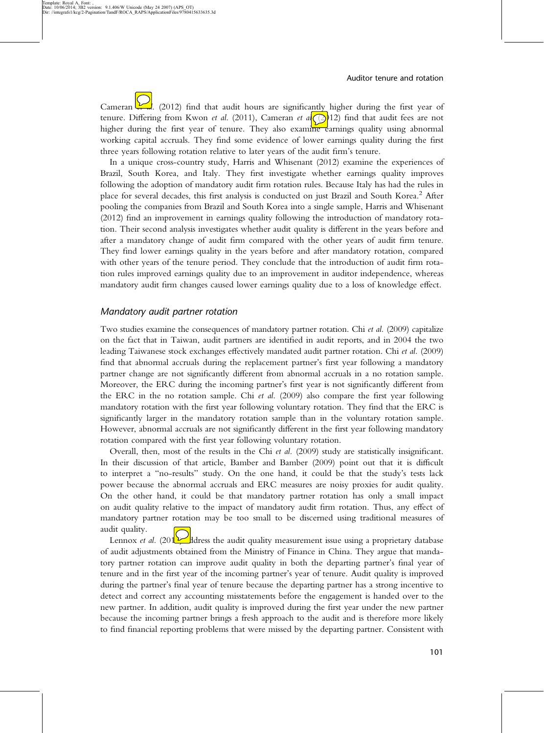Cameran  $\sum$ . (2012) find that audit hours are significantly higher during the first year of tenure. Differing from Kwon et al. (2011), Cameran et al  $\mathbb{Q}$ 12) find that audit fees are not higher during the first year of tenure. They also examine earnings quality using abnormal working capital accruals. They find some evidence of lower earnings quality during the first three years following rotation relative to later years of the audit firm's tenure.

In a unique cross-country study, Harris and Whisenant (2012) examine the experiences of Brazil, South Korea, and Italy. They first investigate whether earnings quality improves following the adoption of mandatory audit firm rotation rules. Because Italy has had the rules in place for several decades, this first analysis is conducted on just Brazil and South Korea.<sup>2</sup> After pooling the companies from Brazil and South Korea into a single sample, Harris and Whisenant (2012) find an improvement in earnings quality following the introduction of mandatory rotation. Their second analysis investigates whether audit quality is different in the years before and after a mandatory change of audit firm compared with the other years of audit firm tenure. They find lower earnings quality in the years before and after mandatory rotation, compared with other years of the tenure period. They conclude that the introduction of audit firm rotation rules improved earnings quality due to an improvement in auditor independence, whereas mandatory audit firm changes caused lower earnings quality due to a loss of knowledge effect.

#### Mandatory audit partner rotation

Two studies examine the consequences of mandatory partner rotation. Chi et al. (2009) capitalize on the fact that in Taiwan, audit partners are identified in audit reports, and in 2004 the two leading Taiwanese stock exchanges effectively mandated audit partner rotation. Chi et al. (2009) find that abnormal accruals during the replacement partner's first year following a mandatory partner change are not significantly different from abnormal accruals in a no rotation sample. Moreover, the ERC during the incoming partner's first year is not significantly different from the ERC in the no rotation sample. Chi et al. (2009) also compare the first year following mandatory rotation with the first year following voluntary rotation. They find that the ERC is significantly larger in the mandatory rotation sample than in the voluntary rotation sample. However, abnormal accruals are not significantly different in the first year following mandatory rotation compared with the first year following voluntary rotation.

Overall, then, most of the results in the Chi et al. (2009) study are statistically insignificant. In their discussion of that article, Bamber and Bamber (2009) point out that it is difficult to interpret a "no-results" study. On the one hand, it could be that the study's tests lack power because the abnormal accruals and ERC measures are noisy proxies for audit quality. On the other hand, it could be that mandatory partner rotation has only a small impact on audit quality relative to the impact of mandatory audit firm rotation. Thus, any effect of mandatory partner rotation may be too small to be discerned using traditional measures of audit quality.

Lennox et al. (201 $\blacktriangleright$  didress the audit quality measurement issue using a proprietary database of audit adjustments obtained from the Ministry of Finance in China. They argue that mandatory partner rotation can improve audit quality in both the departing partner's final year of tenure and in the first year of the incoming partner's year of tenure. Audit quality is improved during the partner's final year of tenure because the departing partner has a strong incentive to detect and correct any accounting misstatements before the engagement is handed over to the new partner. In addition, audit quality is improved during the first year under the new partner because the incoming partner brings a fresh approach to the audit and is therefore more likely to find financial reporting problems that were missed by the departing partner. Consistent with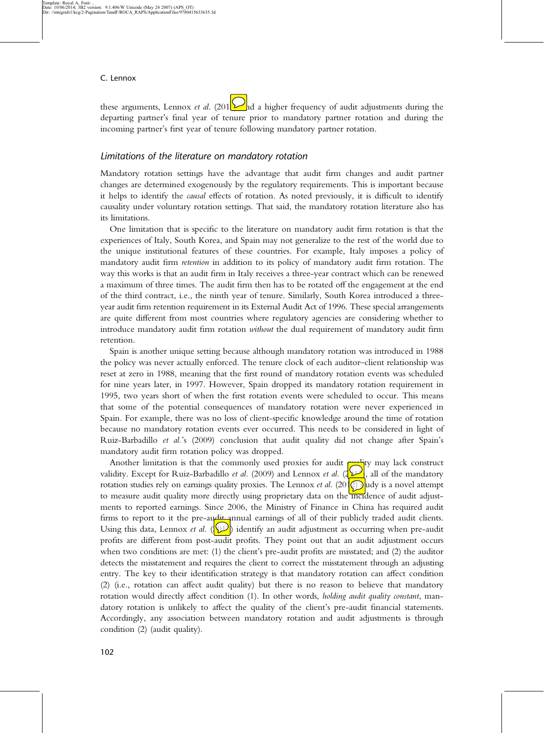these arguments, Lennox et al. (201 $\bigcup$ d a higher frequency of audit adjustments during the departing partner's final year of tenure prior to mandatory partner rotation and during the incoming partner's first year of tenure following mandatory partner rotation.

#### Limitations of the literature on mandatory rotation

Mandatory rotation settings have the advantage that audit firm changes and audit partner changes are determined exogenously by the regulatory requirements. This is important because it helps to identify the causal effects of rotation. As noted previously, it is difficult to identify causality under voluntary rotation settings. That said, the mandatory rotation literature also has its limitations.

One limitation that is specific to the literature on mandatory audit firm rotation is that the experiences of Italy, South Korea, and Spain may not generalize to the rest of the world due to the unique institutional features of these countries. For example, Italy imposes a policy of mandatory audit firm retention in addition to its policy of mandatory audit firm rotation. The way this works is that an audit firm in Italy receives a three-year contract which can be renewed a maximum of three times. The audit firm then has to be rotated off the engagement at the end of the third contract, i.e., the ninth year of tenure. Similarly, South Korea introduced a threeyear audit firm retention requirement in its External Audit Act of 1996. These special arrangements are quite different from most countries where regulatory agencies are considering whether to introduce mandatory audit firm rotation without the dual requirement of mandatory audit firm retention.

Spain is another unique setting because although mandatory rotation was introduced in 1988 the policy was never actually enforced. The tenure clock of each auditor–client relationship was reset at zero in 1988, meaning that the first round of mandatory rotation events was scheduled for nine years later, in 1997. However, Spain dropped its mandatory rotation requirement in 1995, two years short of when the first rotation events were scheduled to occur. This means that some of the potential consequences of mandatory rotation were never experienced in Spain. For example, there was no loss of client-specific knowledge around the time of rotation because no mandatory rotation events ever occurred. This needs to be considered in light of Ruiz-Barbadillo et al.'s (2009) conclusion that audit quality did not change after Spain's mandatory audit firm rotation policy was dropped.

Another limitation is that the commonly used proxies for audit  $\Box$  ty may lack construct validity. Except for Ruiz-Barbadillo *et al.* (2009) and Lennox *et al.* (2012), all of the mandatory rotation studies rely on earnings quality proxies. The Lennox et al. (20<sup>1</sup> $\bigcirc$  udy is a novel attempt to measure audit quality more directly using proprietary data on the incidence of audit adjustments to reported earnings. Since 2006, the Ministry of Finance in China has required audit firms to report to it the pre-audit annual earnings of all of their publicly traded audit clients. Using this data, Lennox et al. ( $\Omega$ ) identify an audit adjustment as occurring when pre-audit profits are different from post-audit profits. They point out that an audit adjustment occurs when two conditions are met: (1) the client's pre-audit profits are misstated; and (2) the auditor detects the misstatement and requires the client to correct the misstatement through an adjusting entry. The key to their identification strategy is that mandatory rotation can affect condition (2) (i.e., rotation can affect audit quality) but there is no reason to believe that mandatory rotation would directly affect condition (1). In other words, *holding audit quality constant*, mandatory rotation is unlikely to affect the quality of the client's pre-audit financial statements. Accordingly, any association between mandatory rotation and audit adjustments is through condition (2) (audit quality).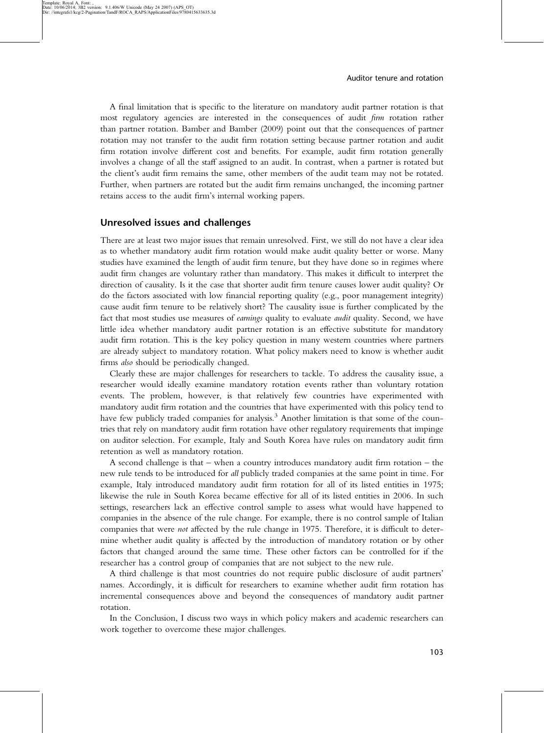A final limitation that is specific to the literature on mandatory audit partner rotation is that most regulatory agencies are interested in the consequences of audit firm rotation rather than partner rotation. Bamber and Bamber (2009) point out that the consequences of partner rotation may not transfer to the audit firm rotation setting because partner rotation and audit firm rotation involve different cost and benefits. For example, audit firm rotation generally involves a change of all the staff assigned to an audit. In contrast, when a partner is rotated but the client's audit firm remains the same, other members of the audit team may not be rotated. Further, when partners are rotated but the audit firm remains unchanged, the incoming partner retains access to the audit firm's internal working papers.

# Unresolved issues and challenges

There are at least two major issues that remain unresolved. First, we still do not have a clear idea as to whether mandatory audit firm rotation would make audit quality better or worse. Many studies have examined the length of audit firm tenure, but they have done so in regimes where audit firm changes are voluntary rather than mandatory. This makes it difficult to interpret the direction of causality. Is it the case that shorter audit firm tenure causes lower audit quality? Or do the factors associated with low financial reporting quality (e.g., poor management integrity) cause audit firm tenure to be relatively short? The causality issue is further complicated by the fact that most studies use measures of *earnings* quality to evaluate *audit* quality. Second, we have little idea whether mandatory audit partner rotation is an effective substitute for mandatory audit firm rotation. This is the key policy question in many western countries where partners are already subject to mandatory rotation. What policy makers need to know is whether audit firms also should be periodically changed.

Clearly these are major challenges for researchers to tackle. To address the causality issue, a researcher would ideally examine mandatory rotation events rather than voluntary rotation events. The problem, however, is that relatively few countries have experimented with mandatory audit firm rotation and the countries that have experimented with this policy tend to have few publicly traded companies for analysis.<sup>3</sup> Another limitation is that some of the countries that rely on mandatory audit firm rotation have other regulatory requirements that impinge on auditor selection. For example, Italy and South Korea have rules on mandatory audit firm retention as well as mandatory rotation.

A second challenge is that – when a country introduces mandatory audit firm rotation – the new rule tends to be introduced for all publicly traded companies at the same point in time. For example, Italy introduced mandatory audit firm rotation for all of its listed entities in 1975; likewise the rule in South Korea became effective for all of its listed entities in 2006. In such settings, researchers lack an effective control sample to assess what would have happened to companies in the absence of the rule change. For example, there is no control sample of Italian companies that were not affected by the rule change in 1975. Therefore, it is difficult to determine whether audit quality is affected by the introduction of mandatory rotation or by other factors that changed around the same time. These other factors can be controlled for if the researcher has a control group of companies that are not subject to the new rule.

A third challenge is that most countries do not require public disclosure of audit partners' names. Accordingly, it is difficult for researchers to examine whether audit firm rotation has incremental consequences above and beyond the consequences of mandatory audit partner rotation.

In the Conclusion, I discuss two ways in which policy makers and academic researchers can work together to overcome these major challenges.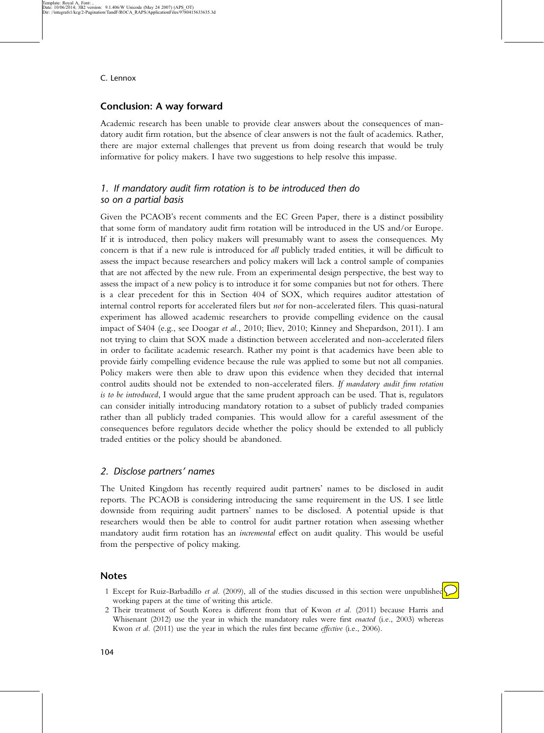## Conclusion: A way forward

Academic research has been unable to provide clear answers about the consequences of mandatory audit firm rotation, but the absence of clear answers is not the fault of academics. Rather, there are major external challenges that prevent us from doing research that would be truly informative for policy makers. I have two suggestions to help resolve this impasse.

# 1. If mandatory audit firm rotation is to be introduced then do so on a partial basis

Given the PCAOB's recent comments and the EC Green Paper, there is a distinct possibility that some form of mandatory audit firm rotation will be introduced in the US and/or Europe. If it is introduced, then policy makers will presumably want to assess the consequences. My concern is that if a new rule is introduced for all publicly traded entities, it will be difficult to assess the impact because researchers and policy makers will lack a control sample of companies that are not affected by the new rule. From an experimental design perspective, the best way to assess the impact of a new policy is to introduce it for some companies but not for others. There is a clear precedent for this in Section 404 of SOX, which requires auditor attestation of internal control reports for accelerated filers but not for non-accelerated filers. This quasi-natural experiment has allowed academic researchers to provide compelling evidence on the causal impact of S404 (e.g., see Doogar et al., 2010; Iliev, 2010; Kinney and Shepardson, 2011). I am not trying to claim that SOX made a distinction between accelerated and non-accelerated filers in order to facilitate academic research. Rather my point is that academics have been able to provide fairly compelling evidence because the rule was applied to some but not all companies. Policy makers were then able to draw upon this evidence when they decided that internal control audits should not be extended to non-accelerated filers. If mandatory audit firm rotation is to be introduced, I would argue that the same prudent approach can be used. That is, regulators can consider initially introducing mandatory rotation to a subset of publicly traded companies rather than all publicly traded companies. This would allow for a careful assessment of the consequences before regulators decide whether the policy should be extended to all publicly traded entities or the policy should be abandoned.

## 2. Disclose partners' names

The United Kingdom has recently required audit partners' names to be disclosed in audit reports. The PCAOB is considering introducing the same requirement in the US. I see little downside from requiring audit partners' names to be disclosed. A potential upside is that researchers would then be able to control for audit partner rotation when assessing whether mandatory audit firm rotation has an incremental effect on audit quality. This would be useful from the perspective of policy making.

#### Notes

1 Except for Ruiz-Barbadillo et al. (2009), all of the studies discussed in this section were unpublished working papers at the time of writing this article.

2 Their treatment of South Korea is different from that of Kwon et al. (2011) because Harris and Whisenant (2012) use the year in which the mandatory rules were first *enacted* (i.e., 2003) whereas Kwon et al. (2011) use the year in which the rules first became effective (i.e., 2006).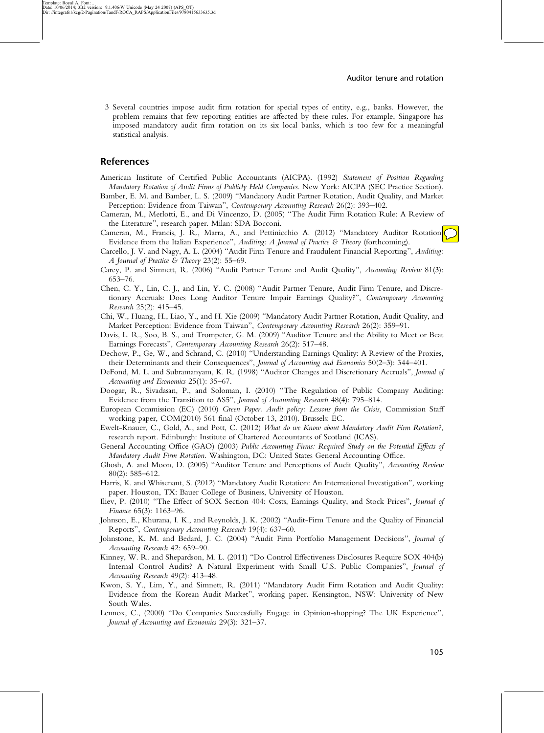mplate: Royal A, Font: ,<br>ate: 10/06/2014; 3B2 vers Date: 10/06/2014; 3B2 version: 9.1.406/W Unicode (May 24 2007) (APS\_OT) Dir: //integrafs1/kcg/2-Pagination/TandF/ROCA\_RAPS/ApplicationFiles/9780415633635.3d

> 3 Several countries impose audit firm rotation for special types of entity, e.g., banks. However, the problem remains that few reporting entities are affected by these rules. For example, Singapore has imposed mandatory audit firm rotation on its six local banks, which is too few for a meaningful statistical analysis.

# References

- American Institute of Certified Public Accountants (AICPA). (1992) Statement of Position Regarding Mandatory Rotation of Audit Firms of Publicly Held Companies. New York: AICPA (SEC Practice Section).
- Bamber, E. M. and Bamber, L. S. (2009) "Mandatory Audit Partner Rotation, Audit Quality, and Market Perception: Evidence from Taiwan", Contemporary Accounting Research 26(2): 393-402.
- Cameran, M., Merlotti, E., and Di Vincenzo, D. (2005) "The Audit Firm Rotation Rule: A Review of the Literature", research paper. Milan: SDA Bocconi.
- Cameran, M., Francis, J. R., Marra, A., and Pettinicchio A. (2012) "Mandatory Auditor Rotation: Evidence from the Italian Experience", Auditing: A Journal of Practice & Theory (forthcoming).
- Carcello, J. V. and Nagy, A. L. (2004) "Audit Firm Tenure and Fraudulent Financial Reporting", Auditing: A Journal of Practice & Theory 23(2): 55-69.
- Carey, P. and Simnett, R. (2006) "Audit Partner Tenure and Audit Quality", Accounting Review 81(3): 653–76.
- Chen, C. Y., Lin, C. J., and Lin, Y. C. (2008) "Audit Partner Tenure, Audit Firm Tenure, and Discretionary Accruals: Does Long Auditor Tenure Impair Earnings Quality?", Contemporary Accounting Research 25(2): 415–45.
- Chi, W., Huang, H., Liao, Y., and H. Xie (2009) "Mandatory Audit Partner Rotation, Audit Quality, and Market Perception: Evidence from Taiwan", Contemporary Accounting Research 26(2): 359-91.
- Davis, L. R., Soo, B. S., and Trompeter, G. M. (2009) "Auditor Tenure and the Ability to Meet or Beat Earnings Forecasts", Contemporary Accounting Research 26(2): 517-48.
- Dechow, P., Ge, W., and Schrand, C. (2010) "Understanding Earnings Quality: A Review of the Proxies, their Determinants and their Consequences", Journal of Accounting and Economics 50(2–3): 344–401.
- DeFond, M. L. and Subramanyam, K. R. (1998) "Auditor Changes and Discretionary Accruals", Journal of Accounting and Economics 25(1): 35–67.
- Doogar, R., Sivadasan, P., and Soloman, I. (2010) "The Regulation of Public Company Auditing: Evidence from the Transition to AS5", Journal of Accounting Research 48(4): 795–814.
- European Commission (EC) (2010) Green Paper. Audit policy: Lessons from the Crisis, Commission Staff working paper, COM(2010) 561 final (October 13, 2010). Brussels: EC.
- Ewelt-Knauer, C., Gold, A., and Pott, C. (2012) What do we Know about Mandatory Audit Firm Rotation?, research report. Edinburgh: Institute of Chartered Accountants of Scotland (ICAS).
- General Accounting Office (GAO) (2003) Public Accounting Firms: Required Study on the Potential Effects of Mandatory Audit Firm Rotation. Washington, DC: United States General Accounting Office.
- Ghosh, A. and Moon, D. (2005) "Auditor Tenure and Perceptions of Audit Quality", Accounting Review 80(2): 585–612.
- Harris, K. and Whisenant, S. (2012) "Mandatory Audit Rotation: An International Investigation", working paper. Houston, TX: Bauer College of Business, University of Houston.
- Iliev, P. (2010) "The Effect of SOX Section 404: Costs, Earnings Quality, and Stock Prices", Journal of Finance 65(3): 1163–96.
- Johnson, E., Khurana, I. K., and Reynolds, J. K. (2002) "Audit-Firm Tenure and the Quality of Financial Reports", Contemporary Accounting Research 19(4): 637–60.
- Johnstone, K. M. and Bedard, J. C. (2004) "Audit Firm Portfolio Management Decisions", Journal of Accounting Research 42: 659–90.
- Kinney, W. R. and Shepardson, M. L. (2011) "Do Control Effectiveness Disclosures Require SOX 404(b) Internal Control Audits? A Natural Experiment with Small U.S. Public Companies", Journal of Accounting Research 49(2): 413–48.
- Kwon, S. Y., Lim, Y., and Simnett, R. (2011) "Mandatory Audit Firm Rotation and Audit Quality: Evidence from the Korean Audit Market", working paper. Kensington, NSW: University of New South Wales.
- Lennox, C., (2000) "Do Companies Successfully Engage in Opinion-shopping? The UK Experience", Journal of Accounting and Economics 29(3): 321–37.

105